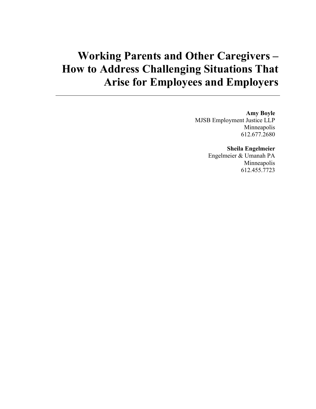# **Working Parents and Other Caregivers – How to Address Challenging Situations That Arise for Employees and Employers**

#### **Amy Boyle**

MJSB Employment Justice LLP Minneapolis 612.677.2680

#### **Sheila Engelmeier**

Engelmeier & Umanah PA Minneapolis 612.455.7723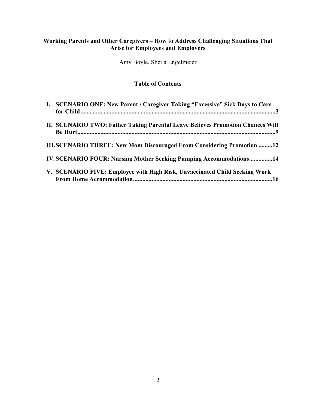## **Working Parents and Other Caregivers – How to Address Challenging Situations That Arise for Employees and Employers**

Amy Boyle, Sheila Engelmeier

# **Table of Contents**

| I. SCENARIO ONE: New Parent / Caregiver Taking "Excessive" Sick Days to Care   |
|--------------------------------------------------------------------------------|
| II. SCENARIO TWO: Father Taking Parental Leave Believes Promotion Chances Will |
| <b>III.SCENARIO THREE: New Mom Discouraged From Considering Promotion 12</b>   |
| <b>IV. SCENARIO FOUR: Nursing Mother Seeking Pumping Accommodations14</b>      |
| V. SCENARIO FIVE: Employee with High Risk, Unvaccinated Child Seeking Work     |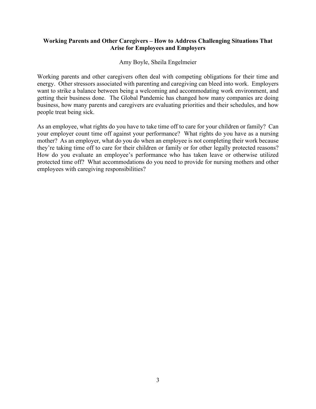#### **Working Parents and Other Caregivers – How to Address Challenging Situations That Arise for Employees and Employers**

#### Amy Boyle, Sheila Engelmeier

Working parents and other caregivers often deal with competing obligations for their time and energy. Other stressors associated with parenting and caregiving can bleed into work. Employers want to strike a balance between being a welcoming and accommodating work environment, and getting their business done. The Global Pandemic has changed how many companies are doing business, how many parents and caregivers are evaluating priorities and their schedules, and how people treat being sick.

As an employee, what rights do you have to take time off to care for your children or family? Can your employer count time off against your performance? What rights do you have as a nursing mother? As an employer, what do you do when an employee is not completing their work because they're taking time off to care for their children or family or for other legally protected reasons? How do you evaluate an employee's performance who has taken leave or otherwise utilized protected time off? What accommodations do you need to provide for nursing mothers and other employees with caregiving responsibilities?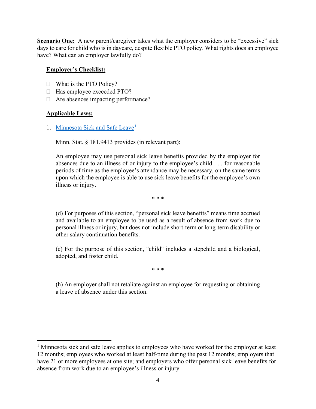**Scenario One:** A new parent/caregiver takes what the employer considers to be "excessive" sick days to care for child who is in daycare, despite flexible PTO policy. What rights does an employee have? What can an employer lawfully do?

#### **Employer's Checklist:**

- $\Box$  What is the PTO Policy?
- $\Box$  Has employee exceeded PTO?
- $\Box$  Are absences impacting performance?

#### **Applicable Laws:**

1. [Minnesota Sick and Safe Leave](https://www.revisor.mn.gov/statutes/cite/181.9413)<sup>[1](#page-3-0)</sup>

Minn. Stat. § 181.9413 provides (in relevant part):

An employee may use personal sick leave benefits provided by the employer for absences due to an illness of or injury to the employee's child . . . for reasonable periods of time as the employee's attendance may be necessary, on the same terms upon which the employee is able to use sick leave benefits for the employee's own illness or injury.

\* \* \*

(d) For purposes of this section, "personal sick leave benefits" means time accrued and available to an employee to be used as a result of absence from work due to personal illness or injury, but does not include short-term or long-term disability or other salary continuation benefits.

(e) For the purpose of this section, "child" includes a stepchild and a biological, adopted, and foster child.

\* \* \*

(h) An employer shall not retaliate against an employee for requesting or obtaining a leave of absence under this section.

<span id="page-3-0"></span> $<sup>1</sup>$  Minnesota sick and safe leave applies to employees who have worked for the employer at least</sup> 12 months; employees who worked at least half-time during the past 12 months; employers that have 21 or more employees at one site; and employers who offer personal sick leave benefits for absence from work due to an employee's illness or injury.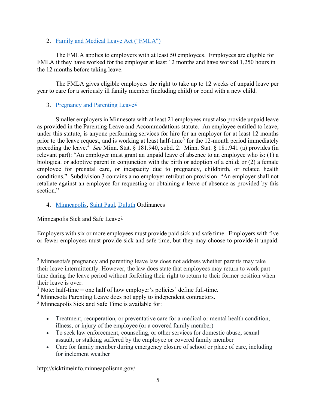## 2. [Family and Medical Leave Act \("FMLA"\)](https://www.dol.gov/agencies/whd/fmla)

The FMLA applies to employers with at least 50 employees. Employees are eligible for FMLA if they have worked for the employer at least 12 months and have worked 1,250 hours in the 12 months before taking leave.

The FMLA gives eligible employees the right to take up to 12 weeks of unpaid leave per year to care for a seriously ill family member (including child) or bond with a new child.

## 3. [Pregnancy and Parenting Leave](https://www.revisor.mn.gov/statutes/cite/181.941)<sup>[2](#page-4-0)</sup>

Smaller employers in Minnesota with at least 21 employees must also provide unpaid leave as provided in the Parenting Leave and Accommodations statute. An employee entitled to leave, under this statute, is anyone performing services for hire for an employer for at least 12 months prior to the leave request, and is working at least half-time<sup>[3](#page-4-1)</sup> for the 12-month period immediately preceding the leave.<sup>[4](#page-4-2)</sup> See Minn. Stat. § 181.940, subd. 2. Minn. Stat. § 181.941 (a) provides (in relevant part): "An employer must grant an unpaid leave of absence to an employee who is: (1) a biological or adoptive parent in conjunction with the birth or adoption of a child; or (2) a female employee for prenatal care, or incapacity due to pregnancy, childbirth, or related health conditions." Subdivision 3 contains a no employer retribution provision: "An employer shall not retaliate against an employee for requesting or obtaining a leave of absence as provided by this section."

## 4. [Minneapolis,](http://sicktimeinfo.minneapolismn.gov/) [Saint](https://www.stpaul.gov/departments/human-rights-equal-economic-opportunity/labor-standards-enforcement-and-education-1) Paul, [Duluth](https://duluthmn.gov/city-clerk/earned-sick-safe-time/about-earned-sick-safe-time/) Ordinances

## Minneapolis Sick and Safe Leave<sup> $5$ </sup>

Employers with six or more employees must provide paid sick and safe time. Employers with five or fewer employees must provide sick and safe time, but they may choose to provide it unpaid.

- Treatment, recuperation, or preventative care for a medical or mental health condition, illness, or injury of the employee (or a covered family member)
- To seek law enforcement, counseling, or other services for domestic abuse, sexual assault, or stalking suffered by the employee or covered family member
- Care for family member during emergency closure of school or place of care, including for inclement weather

http://sicktimeinfo.minneapolismn.gov/

<span id="page-4-0"></span><sup>&</sup>lt;sup>2</sup> Minnesota's pregnancy and parenting leave law does not address whether parents may take their leave intermittently. However, the law does state that employees may return to work part time during the leave period without forfeiting their right to return to their former position when their leave is over.

<span id="page-4-1"></span> $3$  Note: half-time = one half of how employer's policies' define full-time.

<span id="page-4-2"></span><sup>4</sup> Minnesota Parenting Leave does not apply to independent contractors.

<span id="page-4-3"></span><sup>5</sup> Minneapolis Sick and Safe Time is available for: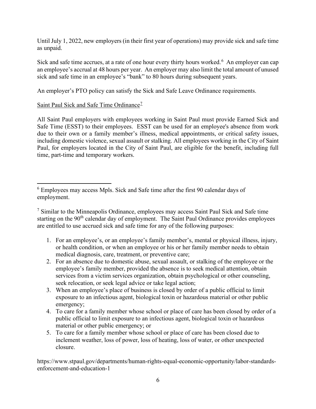Until July 1, 2022, new employers (in their first year of operations) may provide sick and safe time as unpaid.

Sick and safe time accrues, at a rate of one hour every thirty hours worked.<sup>[6](#page-5-0)</sup> An employer can cap an employee's accrual at 48 hours per year. An employer may also limit the total amount of unused sick and safe time in an employee's "bank" to 80 hours during subsequent years.

An employer's PTO policy can satisfy the Sick and Safe Leave Ordinance requirements.

## Saint Paul Sick and Safe Time Ordinance<sup>[7](#page-5-1)</sup>

All Saint Paul employers with employees working in Saint Paul must provide Earned Sick and Safe Time (ESST) to their employees. ESST can be used for an employee's absence from work due to their own or a family member's illness, medical appointments, or critical safety issues, including domestic violence, sexual assault or stalking. All employees working in the City of Saint Paul, for employers located in the City of Saint Paul, are eligible for the benefit, including full time, part-time and temporary workers.

- 1. For an employee's, or an employee's family member's, mental or physical illness, injury, or health condition, or when an employee or his or her family member needs to obtain medical diagnosis, care, treatment, or preventive care;
- 2. For an absence due to domestic abuse, sexual assault, or stalking of the employee or the employee's family member, provided the absence is to seek medical attention, obtain services from a victim services organization, obtain psychological or other counseling, seek relocation, or seek legal advice or take legal action;
- 3. When an employee's place of business is closed by order of a public official to limit exposure to an infectious agent, biological toxin or hazardous material or other public emergency;
- 4. To care for a family member whose school or place of care has been closed by order of a public official to limit exposure to an infectious agent, biological toxin or hazardous material or other public emergency; or
- 5. To care for a family member whose school or place of care has been closed due to inclement weather, loss of power, loss of heating, loss of water, or other unexpected closure.

https://www.stpaul.gov/departments/human-rights-equal-economic-opportunity/labor-standardsenforcement-and-education-1

<span id="page-5-0"></span><sup>6</sup> Employees may access Mpls. Sick and Safe time after the first 90 calendar days of employment.

<span id="page-5-1"></span><sup>7</sup> Similar to the Minneapolis Ordinance, employees may access Saint Paul Sick and Safe time starting on the 90<sup>th</sup> calendar day of employment. The Saint Paul Ordinance provides employees are entitled to use accrued sick and safe time for any of the following purposes: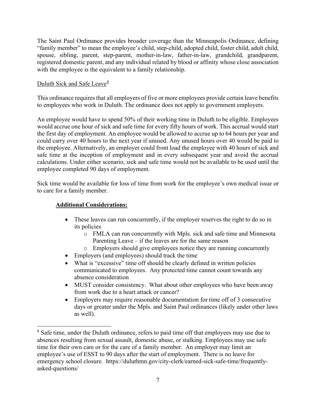The Saint Paul Ordinance provides broader coverage than the Minneapolis Ordinance, defining "family member" to mean the employee's child, step-child, adopted child, foster child, adult child, spouse, sibling, parent, step-parent, mother-in-law, father-in-law, grandchild, grandparent, registered domestic parent, and any individual related by blood or affinity whose close association with the employee is the equivalent to a family relationship.

## Duluth Sick and Safe Leave $\frac{8}{3}$  $\frac{8}{3}$  $\frac{8}{3}$

This ordinance requires that all employers of five or more employees provide certain leave benefits to employees who work in Duluth. The ordinance does not apply to government employers.

An employee would have to spend 50% of their working time in Duluth to be eligible. Employees would accrue one hour of sick and safe time for every fifty hours of work. This accrual would start the first day of employment. An employee would be allowed to accrue up to 64 hours per year and could carry over 40 hours to the next year if unused. Any unused hours over 40 would be paid to the employee. Alternatively, an employer could front load the employee with 40 hours of sick and safe time at the inception of employment and in every subsequent year and avoid the accrual calculations. Under either scenario, sick and safe time would not be available to be used until the employee completed 90 days of employment.

Sick time would be available for loss of time from work for the employee's own medical issue or to care for a family member.

- These leaves can run concurrently, if the employer reserves the right to do so in its policies
	- o FMLA can run concurrently with Mpls. sick and safe time and Minnesota Parenting Leave – if the leaves are for the same reason
	- o Employers should give employees notice they are running concurrently
- Employers (and employees) should track the time
- What is "excessive" time off should be clearly defined in written policies communicated to employees. Any protected time cannot count towards any absence consideration
- MUST consider consistency. What about other employees who have been away from work due to a heart attack or cancer?
- Employers may require reasonable documentation for time off of 3 consecutive days or greater under the Mpls. and Saint Paul ordinances (likely under other laws as well).

<span id="page-6-0"></span><sup>&</sup>lt;sup>8</sup> Safe time, under the Duluth ordinance, refers to paid time off that employees may use due to absences resulting from sexual assault, domestic abuse, or stalking. Employees may use safe time for their own care or for the care of a family member. An employer may limit an employee's use of ESST to 90 days after the start of employment. There is no leave for emergency school closure. https://duluthmn.gov/city-clerk/earned-sick-safe-time/frequentlyasked-questions/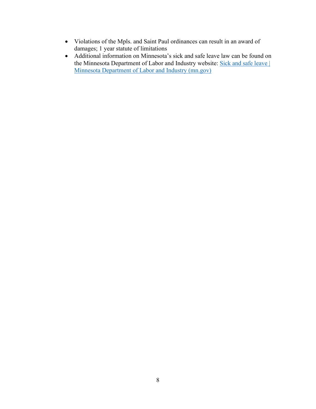- Violations of the Mpls. and Saint Paul ordinances can result in an award of damages; 1 year statute of limitations
- Additional information on Minnesota's sick and safe leave law can be found on the Minnesota Department of Labor and Industry website: Sick and safe leave | [Minnesota Department of Labor and Industry \(mn.gov\)](https://www.dli.mn.gov/sick-leave)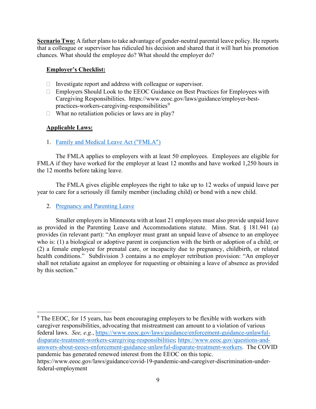**Scenario Two:** A father plans to take advantage of gender-neutral parental leave policy. He reports that a colleague or supervisor has ridiculed his decision and shared that it will hurt his promotion chances. What should the employee do? What should the employer do?

#### **Employer's Checklist:**

- $\Box$  Investigate report and address with colleague or supervisor.
- □ Employers Should Look to the EEOC Guidance on Best Practices for Employees with Caregiving Responsibilities. https://www.eeoc.gov/laws/guidance/employer-best-practices-workers-caregiving-responsibilities<sup>[9](#page-8-0)</sup>
- $\Box$  What no retaliation policies or laws are in play?

## **Applicable Laws:**

1. [Family and Medical Leave Act \("FMLA"\)](https://www.dol.gov/agencies/whd/fmla)

The FMLA applies to employers with at least 50 employees. Employees are eligible for FMLA if they have worked for the employer at least 12 months and have worked 1,250 hours in the 12 months before taking leave.

The FMLA gives eligible employees the right to take up to 12 weeks of unpaid leave per year to care for a seriously ill family member (including child) or bond with a new child.

2. [Pregnancy and Parenting Leave](https://www.revisor.mn.gov/statutes/cite/181.941)

Smaller employers in Minnesota with at least 21 employees must also provide unpaid leave as provided in the Parenting Leave and Accommodations statute. Minn. Stat. § 181.941 (a) provides (in relevant part): "An employer must grant an unpaid leave of absence to an employee who is: (1) a biological or adoptive parent in conjunction with the birth or adoption of a child; or (2) a female employee for prenatal care, or incapacity due to pregnancy, childbirth, or related health conditions." Subdivision 3 contains a no employer retribution provision: "An employer shall not retaliate against an employee for requesting or obtaining a leave of absence as provided by this section."

<span id="page-8-0"></span><sup>9</sup> The EEOC, for 15 years, has been encouraging employers to be flexible with workers with caregiver responsibilities, advocating that mistreatment can amount to a violation of various federal laws. *See, e.g.*, [https://www.eeoc.gov/laws/guidance/enforcement-guidance-unlawful](https://www.eeoc.gov/laws/guidance/enforcement-guidance-unlawful-disparate-treatment-workers-caregiving-responsibilities)[disparate-treatment-workers-caregiving-responsibilities;](https://www.eeoc.gov/laws/guidance/enforcement-guidance-unlawful-disparate-treatment-workers-caregiving-responsibilities) [https://www.eeoc.gov/questions-and](https://www.eeoc.gov/questions-and-answers-about-eeocs-enforcement-guidance-unlawful-disparate-treatment-workers)[answers-about-eeocs-enforcement-guidance-unlawful-disparate-treatment-workers.](https://www.eeoc.gov/questions-and-answers-about-eeocs-enforcement-guidance-unlawful-disparate-treatment-workers) The COVID pandemic has generated renewed interest from the EEOC on this topic. https://www.eeoc.gov/laws/guidance/covid-19-pandemic-and-caregiver-discrimination-under-

federal-employment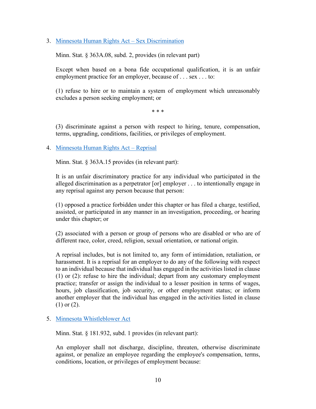#### 3. [Minnesota Human Rights Act –](https://www.revisor.mn.gov/statutes/cite/363A.08) Sex Discrimination

Minn. Stat. § 363A.08, subd. 2, provides (in relevant part)

Except when based on a bona fide occupational qualification, it is an unfair employment practice for an employer, because of . . . sex . . . to:

(1) refuse to hire or to maintain a system of employment which unreasonably excludes a person seeking employment; or

\* \* \*

(3) discriminate against a person with respect to hiring, tenure, compensation, terms, upgrading, conditions, facilities, or privileges of employment.

4. [Minnesota Human Rights Act –](https://www.revisor.mn.gov/statutes/cite/363A.15) Reprisal

Minn. Stat. § 363A.15 provides (in relevant part):

It is an unfair discriminatory practice for any individual who participated in the alleged discrimination as a perpetrator [or] employer . . . to intentionally engage in any reprisal against any person because that person:

(1) opposed a practice forbidden under this chapter or has filed a charge, testified, assisted, or participated in any manner in an investigation, proceeding, or hearing under this chapter; or

(2) associated with a person or group of persons who are disabled or who are of different race, color, creed, religion, sexual orientation, or national origin.

A reprisal includes, but is not limited to, any form of intimidation, retaliation, or harassment. It is a reprisal for an employer to do any of the following with respect to an individual because that individual has engaged in the activities listed in clause (1) or (2): refuse to hire the individual; depart from any customary employment practice; transfer or assign the individual to a lesser position in terms of wages, hours, job classification, job security, or other employment status; or inform another employer that the individual has engaged in the activities listed in clause (1) or (2).

5. [Minnesota Whistleblower Act](https://www.revisor.mn.gov/statutes/cite/181.932)

Minn. Stat. § 181.932, subd. 1 provides (in relevant part):

An employer shall not discharge, discipline, threaten, otherwise discriminate against, or penalize an employee regarding the employee's compensation, terms, conditions, location, or privileges of employment because: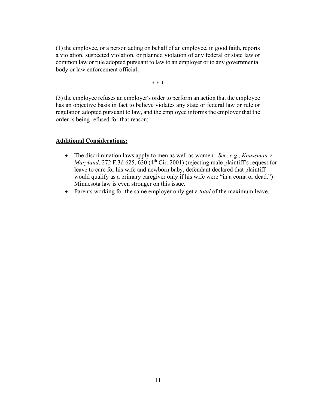(1) the employee, or a person acting on behalf of an employee, in good faith, reports a violation, suspected violation, or planned violation of any federal or state law or common law or rule adopted pursuant to law to an employer or to any governmental body or law enforcement official;

\* \* \*

(3) the employee refuses an employer's order to perform an action that the employee has an objective basis in fact to believe violates any state or federal law or rule or regulation adopted pursuant to law, and the employee informs the employer that the order is being refused for that reason;

- The discrimination laws apply to men as well as women. *See, e.g.*, *Knussman v. Maryland*, 272 F.3d 625, 630 (4<sup>th</sup> Cir. 2001) (rejecting male plaintiff's request for leave to care for his wife and newborn baby, defendant declared that plaintiff would qualify as a primary caregiver only if his wife were "in a coma or dead.") Minnesota law is even stronger on this issue.
- Parents working for the same employer only get a *total* of the maximum leave.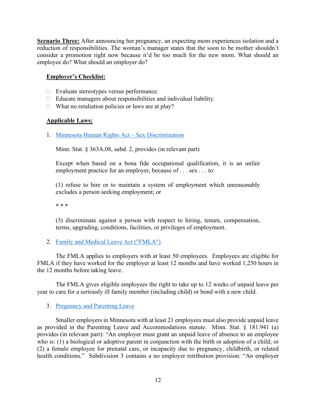**Scenario Three:** After announcing her pregnancy, an expecting mom experiences isolation and a reduction of responsibilities. The woman's manager states that the soon to be mother shouldn't consider a promotion right now because it'd be too much for the new mom. What should an employee do? What should an employer do?

## **Employer's Checklist:**

- Evaluate stereotypes versus performance.
- $\Box$  Educate managers about responsibilities and individual liability.
- $\Box$  What no retaliation policies or laws are at play?

#### **Applicable Laws:**

1. [Minnesota Human Rights Act –](https://www.revisor.mn.gov/statutes/cite/363A.08) Sex Discrimination

Minn. Stat. § 363A.08, subd. 2, provides (in relevant part)

Except when based on a bona fide occupational qualification, it is an unfair employment practice for an employer, because of . . . sex . . . to:

(1) refuse to hire or to maintain a system of employment which unreasonably excludes a person seeking employment; or

\* \* \*

(3) discriminate against a person with respect to hiring, tenure, compensation, terms, upgrading, conditions, facilities, or privileges of employment.

## 2. [Family and Medical Leave Act \("FMLA"\)](https://www.dol.gov/agencies/whd/fmla)

The FMLA applies to employers with at least 50 employees. Employees are eligible for FMLA if they have worked for the employer at least 12 months and have worked 1,250 hours in the 12 months before taking leave.

The FMLA gives eligible employees the right to take up to 12 weeks of unpaid leave per year to care for a seriously ill family member (including child) or bond with a new child.

#### 3. [Pregnancy and Parenting Leave](https://www.revisor.mn.gov/statutes/cite/181.941)

Smaller employers in Minnesota with at least 21 employees must also provide unpaid leave as provided in the Parenting Leave and Accommodations statute. Minn. Stat. § 181.941 (a) provides (in relevant part): "An employer must grant an unpaid leave of absence to an employee who is: (1) a biological or adoptive parent in conjunction with the birth or adoption of a child; or (2) a female employee for prenatal care, or incapacity due to pregnancy, childbirth, or related health conditions." Subdivision 3 contains a no employer retribution provision: "An employer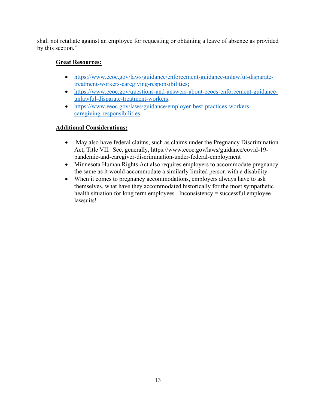shall not retaliate against an employee for requesting or obtaining a leave of absence as provided by this section."

# **Great Resources:**

- [https://www.eeoc.gov/laws/guidance/enforcement-guidance-unlawful-disparate](https://www.eeoc.gov/laws/guidance/enforcement-guidance-unlawful-disparate-treatment-workers-caregiving-responsibilities)[treatment-workers-caregiving-responsibilities;](https://www.eeoc.gov/laws/guidance/enforcement-guidance-unlawful-disparate-treatment-workers-caregiving-responsibilities)
- [https://www.eeoc.gov/questions-and-answers-about-eeocs-enforcement-guidance](https://www.eeoc.gov/questions-and-answers-about-eeocs-enforcement-guidance-unlawful-disparate-treatment-workers)[unlawful-disparate-treatment-workers.](https://www.eeoc.gov/questions-and-answers-about-eeocs-enforcement-guidance-unlawful-disparate-treatment-workers)
- [https://www.eeoc.gov/laws/guidance/employer-best-practices-workers](https://www.eeoc.gov/laws/guidance/employer-best-practices-workers-caregiving-responsibilities)[caregiving-responsibilities](https://www.eeoc.gov/laws/guidance/employer-best-practices-workers-caregiving-responsibilities)

- May also have federal claims, such as claims under the Pregnancy Discrimination Act, Title VII. See, generally, https://www.eeoc.gov/laws/guidance/covid-19 pandemic-and-caregiver-discrimination-under-federal-employment
- Minnesota Human Rights Act also requires employers to accommodate pregnancy the same as it would accommodate a similarly limited person with a disability.
- When it comes to pregnancy accommodations, employers always have to ask themselves, what have they accommodated historically for the most sympathetic health situation for long term employees. Inconsistency = successful employee lawsuits!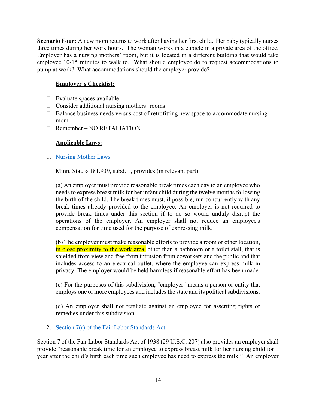**Scenario Four:** A new mom returns to work after having her first child. Her baby typically nurses three times during her work hours. The woman works in a cubicle in a private area of the office. Employer has a nursing mothers' room, but it is located in a different building that would take employee 10-15 minutes to walk to. What should employee do to request accommodations to pump at work? What accommodations should the employer provide?

## **Employer's Checklist:**

- $\Box$  Evaluate spaces available.
- $\Box$  Consider additional nursing mothers' rooms
- $\Box$  Balance business needs versus cost of retrofitting new space to accommodate nursing mom.
- Remember NO RETALIATION

## **Applicable Laws:**

1. [Nursing Mother Laws](https://www.revisor.mn.gov/statutes/cite/181.939)

Minn. Stat. § 181.939, subd. 1, provides (in relevant part):

(a) An employer must provide reasonable break times each day to an employee who needs to express breast milk for her infant child during the twelve months following the birth of the child. The break times must, if possible, run concurrently with any break times already provided to the employee. An employer is not required to provide break times under this section if to do so would unduly disrupt the operations of the employer. An employer shall not reduce an employee's compensation for time used for the purpose of expressing milk.

(b) The employer must make reasonable efforts to provide a room or other location, in close proximity to the work area, other than a bathroom or a toilet stall, that is shielded from view and free from intrusion from coworkers and the public and that includes access to an electrical outlet, where the employee can express milk in privacy. The employer would be held harmless if reasonable effort has been made.

(c) For the purposes of this subdivision, "employer" means a person or entity that employs one or more employees and includes the state and its political subdivisions.

(d) An employer shall not retaliate against an employee for asserting rights or remedies under this subdivision.

2. [Section 7\(r\) of the Fair Labor Standards Act](https://www.dol.gov/agencies/whd/nursing-mothers/law)

Section 7 of the Fair Labor Standards Act of 1938 (29 U.S.C. 207) also provides an employer shall provide "reasonable break time for an employee to express breast milk for her nursing child for 1 year after the child's birth each time such employee has need to express the milk." An employer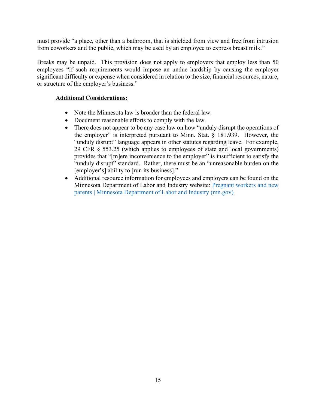must provide "a place, other than a bathroom, that is shielded from view and free from intrusion from coworkers and the public, which may be used by an employee to express breast milk."

Breaks may be unpaid. This provision does not apply to employers that employ less than 50 employees "if such requirements would impose an undue hardship by causing the employer significant difficulty or expense when considered in relation to the size, financial resources, nature, or structure of the employer's business."

- Note the Minnesota law is broader than the federal law.
- Document reasonable efforts to comply with the law.
- There does not appear to be any case law on how "unduly disrupt the operations of the employer" is interpreted pursuant to Minn. Stat.  $\S$  181.939. However, the "unduly disrupt" language appears in other statutes regarding leave. For example, 29 CFR § 553.25 (which applies to employees of state and local governments) provides that "[m]ere inconvenience to the employer" is insufficient to satisfy the "unduly disrupt" standard. Rather, there must be an "unreasonable burden on the [employer's] ability to [run its business]."
- Additional resource information for employees and employers can be found on the Minnesota Department of Labor and Industry website: Pregnant workers and new parents | Minnesota Department of Labor and Industry (mn.gov)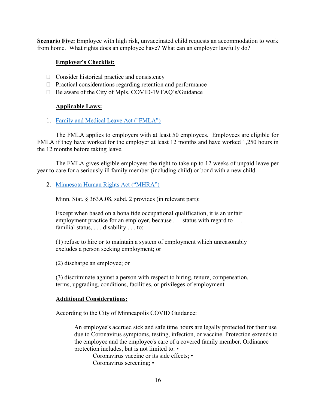**Scenario Five:** Employee with high risk, unvaccinated child requests an accommodation to work from home. What rights does an employee have? What can an employer lawfully do?

#### **Employer's Checklist:**

- $\Box$  Consider historical practice and consistency
- $\Box$  Practical considerations regarding retention and performance
- □ Be aware of the City of Mpls. COVID-19 FAQ's/Guidance

#### **Applicable Laws:**

1. Family and Medical Leave Act ("FMLA")

The FMLA applies to employers with at least 50 employees. Employees are eligible for FMLA if they have worked for the employer at least 12 months and have worked 1,250 hours in the 12 months before taking leave.

The FMLA gives eligible employees the right to take up to 12 weeks of unpaid leave per year to care for a seriously ill family member (including child) or bond with a new child.

2. Minnesota Human Rights Act ("MHRA")

Minn. Stat. § 363A.08, subd. 2 provides (in relevant part):

Except when based on a bona fide occupational qualification, it is an unfair employment practice for an employer, because . . . status with regard to . . . familial status, . . . disability . . . to:

(1) refuse to hire or to maintain a system of employment which unreasonably excludes a person seeking employment; or

(2) discharge an employee; or

(3) discriminate against a person with respect to hiring, tenure, compensation, terms, upgrading, conditions, facilities, or privileges of employment.

#### **Additional Considerations:**

According to the City of Minneapolis COVID Guidance:

An employee's accrued sick and safe time hours are legally protected for their use due to Coronavirus symptoms, testing, infection, or vaccine. Protection extends to the employee and the employee's care of a covered family member. Ordinance protection includes, but is not limited to: •

Coronavirus vaccine or its side effects; • Coronavirus screening; •